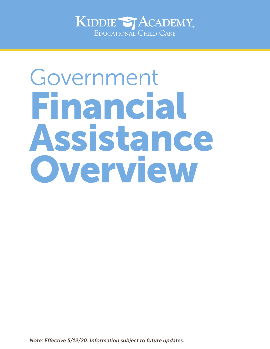

## Government Financial Assistance Overview

*Note: Effective 5/12/20. Information subject to future updates.*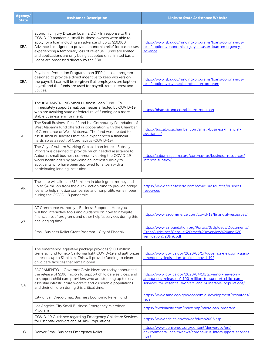| Agency/<br><b>State</b> | <b>Assistance Description</b>                                                                                                                                                                                                                                                                                                                                                                                              | <b>Links to State Assistance Website</b>                                                                                                   |
|-------------------------|----------------------------------------------------------------------------------------------------------------------------------------------------------------------------------------------------------------------------------------------------------------------------------------------------------------------------------------------------------------------------------------------------------------------------|--------------------------------------------------------------------------------------------------------------------------------------------|
|                         |                                                                                                                                                                                                                                                                                                                                                                                                                            |                                                                                                                                            |
| SBA                     | Economic Injury Disaster Loan (EIDL) - In response to the<br>COVID-19 pandemic, small business owners were able to<br>apply for a loan including an advance of up to \$10,000.<br>Advance is designed to provide economic relief for businesses<br>experiencing a temporary loss of revenue. Funds are limited<br>and applications are only being accepted on a limited basis.<br>Loans are processed directly by the SBA. | https://www.sba.gov/funding-programs/loans/coronavirus-<br>relief-options/economic-injury-disaster-loan-emergency-<br>advance              |
|                         | Paycheck Protection Program Loan (PPPL) - Loan program                                                                                                                                                                                                                                                                                                                                                                     |                                                                                                                                            |
| <b>SBA</b>              | designed to provide a direct incentive to keep workers on<br>the payroll. Loan will be forgiven if all employees are kept on<br>payroll and the funds are used for payroll, rent, interest and<br>utilities.                                                                                                                                                                                                               | https://www.sba.gov/funding-programs/loans/coronavirus-<br>relief-options/paycheck-protection-program                                      |
|                         |                                                                                                                                                                                                                                                                                                                                                                                                                            |                                                                                                                                            |
| AL                      | The #BHAMSTRONG Small Business Loan Fund - To<br>immediately support small businesses affected by COVID-19<br>who are awaiting state or federal relief funding or a more<br>stable business environment.                                                                                                                                                                                                                   | https://bhamstrong.com/bhamstrongloan                                                                                                      |
|                         | The Small Business Relief Fund is a Community Foundation of<br>West Alabama fund offered in cooperation with the Chamber<br>of Commerce of West Alabama. The fund was created to<br>assist small businesses that have experienced a financial<br>hardship as a result of Coronavirus (COVID-19).                                                                                                                           | https://tuscaloosachamber.com/small-business-financial-<br>assistance/                                                                     |
|                         | The City of Auburn Working Capital Loan Interest Subsidy<br>Program is designed to provide much needed assistance to<br>Auburn's small business community during the COVID-19<br>world health crisis by providing an interest subsidy to<br>applicants who have been approved for a loan with a<br>participating lending institution.                                                                                      | https://auburnalabama.org/coronavirus/business-resources/<br>interest-subsidy/                                                             |
|                         |                                                                                                                                                                                                                                                                                                                                                                                                                            |                                                                                                                                            |
| <b>AR</b>               | The state will allocate \$12 million in block grant money and<br>up to \$4 million from the quick-action fund to provide bridge<br>loans to help midsize companies and nonprofits remain open<br>during the COVID-19 pandemic.                                                                                                                                                                                             | https://www.arkansasedc.com/covid19resources/business-<br>resources                                                                        |
|                         |                                                                                                                                                                                                                                                                                                                                                                                                                            |                                                                                                                                            |
| AZ                      | AZ Commerce Authority - Business Support - Here you<br>will find interactive tools and guidance on how to navigate<br>financial relief programs and other helpful services during this<br>challenging time.                                                                                                                                                                                                                | https://www.azcommerce.com/covid-19/financial-resources/                                                                                   |
|                         | Small Business Relief Grant Program - City of Phoenix                                                                                                                                                                                                                                                                                                                                                                      | https://www.azfoundation.org/Portals/0/Uploads/Documents/<br>GrantGuidelines/Census%20tract%20overview%20and%20<br>verification%20link.pdf |
|                         |                                                                                                                                                                                                                                                                                                                                                                                                                            |                                                                                                                                            |
| ${\sf CA}$              | The emergency legislative package provides \$500 million<br>General Fund to help California fight COVID-19 and authorizes<br>increases up to \$1 billion. This will provide funding to clean<br>child care facilities that remain open.                                                                                                                                                                                    | https://www.gov.ca.gov/2020/03/17/governor-newsom-signs-<br>emergency-legislation-to-fight-covid-19/                                       |
|                         | SACRAMENTO - Governor Gavin Newsom today announced<br>the release of \$100 million to support child care services, and<br>to support child care providers who are stepping up to serve<br>essential infrastructure workers and vulnerable populations<br>and their children during this critical time.                                                                                                                     | https://www.gov.ca.gov/2020/04/10/governor-newsom-<br>announces-release-of-100-million-to-support-child-care-                              |
|                         |                                                                                                                                                                                                                                                                                                                                                                                                                            | services-for-essential-workers-and-vulnerable-populations/                                                                                 |
|                         |                                                                                                                                                                                                                                                                                                                                                                                                                            | https://www.sandiego.gov/economic-development/resources/                                                                                   |
|                         | City of San Diego Small Business Economic Relief Fund                                                                                                                                                                                                                                                                                                                                                                      | relief                                                                                                                                     |
|                         | Los Angeles City Small Business Emergency Microloan<br>Program                                                                                                                                                                                                                                                                                                                                                             | https://ewddlacity.com/index.php/microloan-program                                                                                         |
|                         | COVID-19 Guidance regarding Emergency Childcare Services<br>for Essential Workers and At-Risk Populations                                                                                                                                                                                                                                                                                                                  | https://www.cde.ca.gov/sp/cd/ci/mb2006.asp                                                                                                 |
| CO                      | Denver Small Business Emergency Relief                                                                                                                                                                                                                                                                                                                                                                                     | https://www.denvergov.org/content/denvergov/en/<br>environmental-health/news/coronavirus-info/support-services.<br>html                    |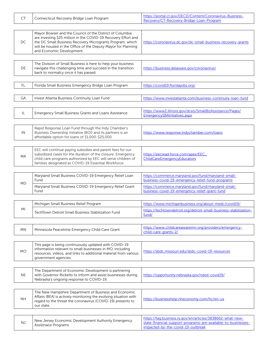| <b>CT</b> | Connecticut Recovery Bridge Loan Program                                                                                                                                                                                                                                              | https://portal.ct.gov/DECD/Content/Coronavirus-Business-<br>Recovery/CT-Recovery-Bridge-Loan-Program                                                            |
|-----------|---------------------------------------------------------------------------------------------------------------------------------------------------------------------------------------------------------------------------------------------------------------------------------------|-----------------------------------------------------------------------------------------------------------------------------------------------------------------|
| DC        | Mayor Bowser and the Council of the District of Columbia<br>are investing \$25 million in the COVID-19 Recovery Effort and<br>the DC Small Business Recovery Microgrants Program, which<br>will be housed in the Office of the Deputy Mayor for Planning<br>and Economic Development. | https://coronavirus.dc.gov/dc-small-business-recovery-grants                                                                                                    |
| DE        | The Division of Small Business is here to help your business<br>navigate this challenging time and succeed in the transition<br>back to normalcy once it has passed.                                                                                                                  | https://business.delaware.gov/coronavirus/                                                                                                                      |
| <b>FL</b> | Florida Small Business Emergency Bridge Loan Program                                                                                                                                                                                                                                  | https://covid19.floridajobs.org/                                                                                                                                |
| GA        | Invest Atlanta Business Continuity Loan Fund                                                                                                                                                                                                                                          | https://www.investatlanta.com/business-continuity-loan-fund                                                                                                     |
| IL        | <b>Emergency Small Business Grants and Loans Assistance</b>                                                                                                                                                                                                                           | https://www2.illinois.gov/dceo/SmallBizAssistance/Pages/<br>EmergencySBAIntiatives.aspx                                                                         |
| IN        | Rapid Response Loan Fund through the Indy Chamber's<br>Business Ownership Initiative (BOI) and its partners is an<br>affordable option for loans of \$1,000-\$25,000.                                                                                                                 | https://www.response.indychamber.com/loans                                                                                                                      |
| MA        | EEC will continue paying subsidies and parent fees for our<br>subsidized cases for the duration of the closure. Emergency<br>child care programs authorized by EEC will serve children of<br>families designated as COVID-19 Essential Workforce.                                     | https://eeclead.force.com/apex/EEC<br>ChildCareEmergencyEducators                                                                                               |
| MD        | Maryland Small Business COVID-19 Emergency Relief Loan<br>Fund                                                                                                                                                                                                                        | https://commerce.maryland.gov/fund/maryland-small-<br>business-covid-19-emergency-relief-fund-programs                                                          |
|           | Maryland Small Business COVID-19 Emergency Relief Grant<br>Fund                                                                                                                                                                                                                       | https://commerce.maryland.gov/fund/maryland-small-<br>business-covid-19-emergency-relief-grant-fund                                                             |
|           |                                                                                                                                                                                                                                                                                       |                                                                                                                                                                 |
| ΜI        | Michigan Small Business Relief Program<br>TechTown Detroit Small Business Stabilization Fund                                                                                                                                                                                          | https://www.michiganbusiness.org/about-medc/covid19/<br>https://techtowndetroit.org/detroit-small-business-stabilization-<br>fund/                              |
|           |                                                                                                                                                                                                                                                                                       |                                                                                                                                                                 |
| MN        | Minnesota Peacetime Emergency Child Care Grant                                                                                                                                                                                                                                        | https://www.childcareawaremn.org/providers/emergency-<br>child-care-grants-2/                                                                                   |
| <b>MO</b> | This page is being continuously updated with COVID-19<br>information relevant to small businesses in MO, including<br>resources, videos, and links to additional material from various<br>government agencies.                                                                        | https://sbdc.missouri.edu/sbdc-covid-19-resources                                                                                                               |
|           |                                                                                                                                                                                                                                                                                       |                                                                                                                                                                 |
| <b>NE</b> | The Department of Economic Development is partnering<br>with Governor Ricketts to inform and assist businesses during<br>Nebraska's ongoing response to COVID-19.                                                                                                                     | https://opportunity.nebraska.gov/nded-covid19/                                                                                                                  |
| <b>NH</b> | The New Hampshire Department of Business and Economic<br>Affairs (BEA) is actively monitoring the evolving situation with<br>regard to the threat the coronavirus (COVID-19) presents to<br>our state.                                                                                | https://businesshelp.nheconomy.com/hc/en-us                                                                                                                     |
|           |                                                                                                                                                                                                                                                                                       |                                                                                                                                                                 |
| <b>NJ</b> | New Jersey Economic Development Authority Emergency<br>Assistnace Programs                                                                                                                                                                                                            | https://faq.business.nj.gov/en/articles/3838662-what-new-<br>state-financial-support-programs-are-available-to-businesses-<br>impacted-by-the-covid-19-outbreak |